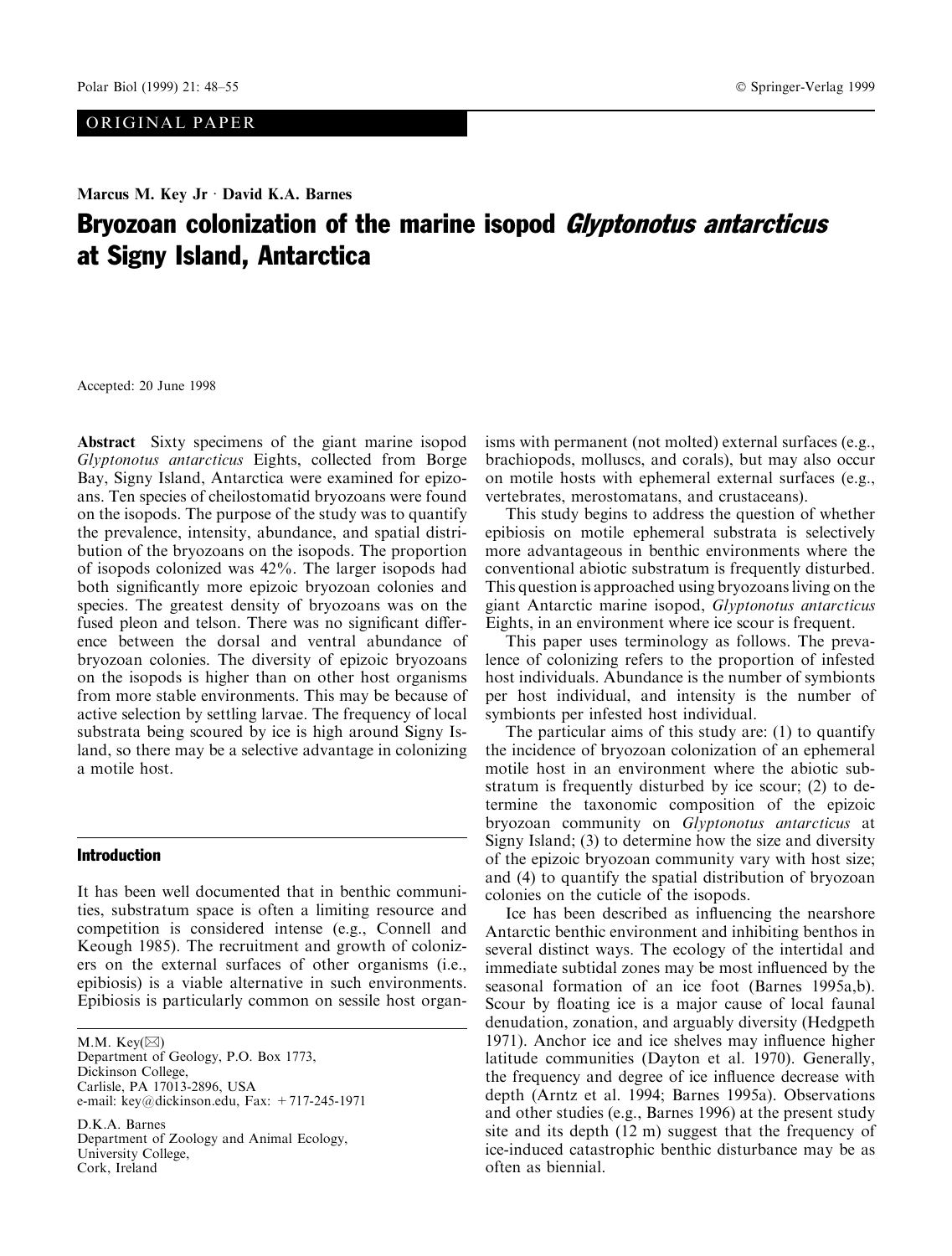# ORIGINAL PAPER

# Marcus M. Key Jr  $\cdot$  David K.A. Barnes Bryozoan colonization of the marine isopod Glyptonotus antarcticus at Signy Island, Antarctica

Accepted: 20 June 1998

Abstract Sixty specimens of the giant marine isopod Glyptonotus antarcticus Eights, collected from Borge Bay, Signy Island, Antarctica were examined for epizoans. Ten species of cheilostomatid bryozoans were found on the isopods. The purpose of the study was to quantify the prevalence, intensity, abundance, and spatial distribution of the bryozoans on the isopods. The proportion of isopods colonized was 42%. The larger isopods had both significantly more epizoic bryozoan colonies and species. The greatest density of bryozoans was on the fused pleon and telson. There was no significant difference between the dorsal and ventral abundance of bryozoan colonies. The diversity of epizoic bryozoans on the isopods is higher than on other host organisms from more stable environments. This may be because of active selection by settling larvae. The frequency of local substrata being scoured by ice is high around Signy Island, so there may be a selective advantage in colonizing a motile host.

## Introduction

It has been well documented that in benthic communities, substratum space is often a limiting resource and competition is considered intense (e.g., Connell and Keough 1985). The recruitment and growth of colonizers on the external surfaces of other organisms (i.e., epibiosis) is a viable alternative in such environments. Epibiosis is particularly common on sessile host organ-

M.M. Key( $\boxtimes$ ) Department of Geology, P.O. Box 1773, Dickinson College, Carlisle, PA 17013-2896, USA e-mail: key@dickinson.edu, Fax: +717-245-1971

D.K.A. Barnes Department of Zoology and Animal Ecology, University College, Cork, Ireland

isms with permanent (not molted) external surfaces (e.g., brachiopods, molluscs, and corals), but may also occur on motile hosts with ephemeral external surfaces (e.g., vertebrates, merostomatans, and crustaceans).

This study begins to address the question of whether epibiosis on motile ephemeral substrata is selectively more advantageous in benthic environments where the conventional abiotic substratum is frequently disturbed. This question is approached using bryozoans living on the giant Antarctic marine isopod, Glyptonotus antarcticus Eights, in an environment where ice scour is frequent.

This paper uses terminology as follows. The prevalence of colonizing refers to the proportion of infested host individuals. Abundance is the number of symbionts per host individual, and intensity is the number of symbionts per infested host individual.

The particular aims of this study are: (1) to quantify the incidence of bryozoan colonization of an ephemeral motile host in an environment where the abiotic substratum is frequently disturbed by ice scour; (2) to determine the taxonomic composition of the epizoic bryozoan community on Glyptonotus antarcticus at Signy Island; (3) to determine how the size and diversity of the epizoic bryozoan community vary with host size; and (4) to quantify the spatial distribution of bryozoan colonies on the cuticle of the isopods.

Ice has been described as influencing the nearshore Antarctic benthic environment and inhibiting benthos in several distinct ways. The ecology of the intertidal and immediate subtidal zones may be most influenced by the seasonal formation of an ice foot (Barnes 1995a,b). Scour by floating ice is a major cause of local faunal denudation, zonation, and arguably diversity (Hedgpeth 1971). Anchor ice and ice shelves may influence higher latitude communities (Dayton et al. 1970). Generally, the frequency and degree of ice influence decrease with depth (Arntz et al. 1994; Barnes 1995a). Observations and other studies (e.g., Barnes 1996) at the present study site and its depth (12 m) suggest that the frequency of ice-induced catastrophic benthic disturbance may be as often as biennial.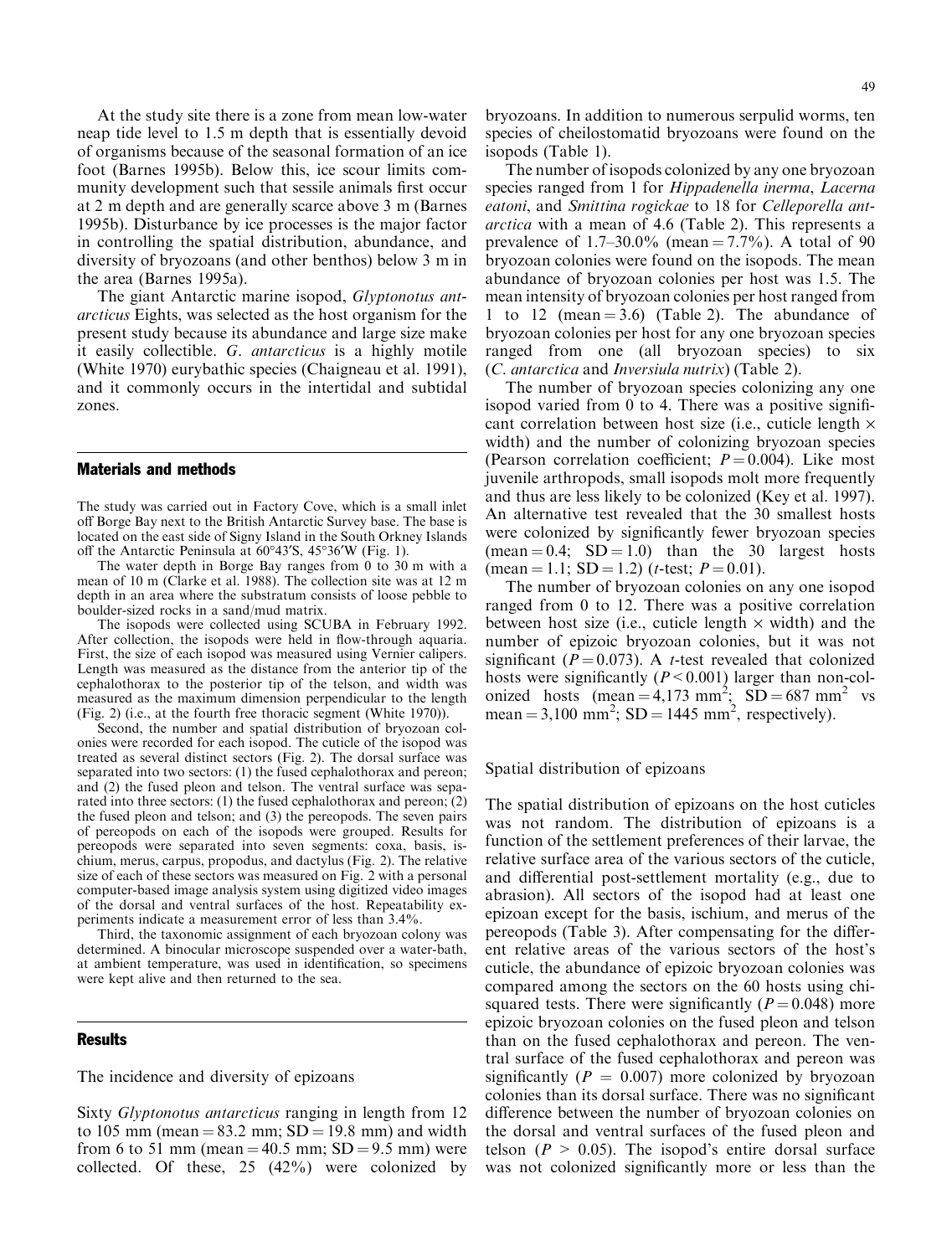At the study site there is a zone from mean low-water neap tide level to 1.5 m depth that is essentially devoid of organisms because of the seasonal formation of an ice foot (Barnes 1995b). Below this, ice scour limits community development such that sessile animals first occur at 2 m depth and are generally scarce above 3 m (Barnes 1995b). Disturbance by ice processes is the major factor in controlling the spatial distribution, abundance, and diversity of bryozoans (and other benthos) below 3 m in the area (Barnes 1995a).

The giant Antarctic marine isopod, Glyptonotus antarcticus Eights, was selected as the host organism for the present study because its abundance and large size make it easily collectible. G. antarcticus is a highly motile (White 1970) eurybathic species (Chaigneau et al. 1991), and it commonly occurs in the intertidal and subtidal zones.

#### Materials and methods

The study was carried out in Factory Cove, which is a small inlet off Borge Bay next to the British Antarctic Survey base. The base is located on the east side of Signy Island in the South Orkney Islands off the Antarctic Peninsula at  $60^{\circ}43\%$ ,  $45^{\circ}36\%$  (Fig. 1).

The water depth in Borge Bay ranges from 0 to 30 m with a mean of 10 m (Clarke et al. 1988). The collection site was at 12 m depth in an area where the substratum consists of loose pebble to boulder-sized rocks in a sand/mud matrix.

The isopods were collected using SCUBA in February 1992. After collection, the isopods were held in flow-through aquaria. First, the size of each isopod was measured using Vernier calipers. Length was measured as the distance from the anterior tip of the cephalothorax to the posterior tip of the telson, and width was measured as the maximum dimension perpendicular to the length (Fig. 2) (i.e., at the fourth free thoracic segment (White 1970)).

Second, the number and spatial distribution of bryozoan colonies were recorded for each isopod. The cuticle of the isopod was treated as several distinct sectors (Fig. 2). The dorsal surface was separated into two sectors: (1) the fused cephalothorax and pereon; and (2) the fused pleon and telson. The ventral surface was separated into three sectors: (1) the fused cephalothorax and pereon; (2) the fused pleon and telson; and (3) the pereopods. The seven pairs of pereopods on each of the isopods were grouped. Results for pereopods were separated into seven segments: coxa, basis, ischium, merus, carpus, propodus, and dactylus (Fig. 2). The relative size of each of these sectors was measured on Fig. 2 with a personal computer-based image analysis system using digitized video images of the dorsal and ventral surfaces of the host. Repeatability experiments indicate a measurement error of less than 3.4%.

Third, the taxonomic assignment of each bryozoan colony was determined. A binocular microscope suspended over a water-bath, at ambient temperature, was used in identification, so specimens were kept alive and then returned to the sea.

#### **Results**

The incidence and diversity of epizoans

Sixty Glyptonotus antarcticus ranging in length from 12 to 105 mm (mean  $= 83.2$  mm;  $SD = 19.8$  mm) and width from 6 to 51 mm (mean =  $40.5$  mm; SD =  $9.5$  mm) were collected. Of these, 25 (42%) were colonized by

bryozoans. In addition to numerous serpulid worms, ten species of cheilostomatid bryozoans were found on the isopods (Table 1).

The number of isopods colonized by any one bryozoan species ranged from 1 for *Hippadenella inerma*, Lacerna eatoni, and Smittina rogickae to 18 for Celleporella antarctica with a mean of 4.6 (Table 2). This represents a prevalence of  $1.7-30.0\%$  (mean  $= 7.7\%$ ). A total of 90 bryozoan colonies were found on the isopods. The mean abundance of bryozoan colonies per host was 1.5. The mean intensity of bryozoan colonies per host ranged from 1 to 12 (mean  $=$  3.6) (Table 2). The abundance of bryozoan colonies per host for any one bryozoan species ranged from one (all bryozoan species) to six (C. antarctica and Inversiula nutrix) (Table 2).

The number of bryozoan species colonizing any one isopod varied from 0 to 4. There was a positive significant correlation between host size (i.e., cuticle length  $\times$ width) and the number of colonizing bryozoan species (Pearson correlation coefficient;  $P = 0.004$ ). Like most juvenile arthropods, small isopods molt more frequently and thus are less likely to be colonized (Key et al. 1997). An alternative test revealed that the 30 smallest hosts were colonized by significantly fewer bryozoan species  $(\text{mean} = 0.4; SD = 1.0)$  than the 30 largest hosts  $(\text{mean} = 1.1; SD = 1.2)$  (*t*-test;  $P = 0.01$ ).

The number of bryozoan colonies on any one isopod ranged from 0 to 12. There was a positive correlation between host size (i.e., cuticle length  $\times$  width) and the number of epizoic bryozoan colonies, but it was not significant ( $P = 0.073$ ). A *t*-test revealed that colonized hosts were significantly  $(P < 0.001)$  larger than non-colonized hosts  $(\text{mean} = 4.173 \text{ mm}^2; \text{SD} = 687 \text{ mm}^2 \text{ vs }$ mean =  $3,100 \text{ mm}^2$ ; SD = 1445 mm<sup>2</sup>, respectively).

Spatial distribution of epizoans

The spatial distribution of epizoans on the host cuticles was not random. The distribution of epizoans is a function of the settlement preferences of their larvae, the relative surface area of the various sectors of the cuticle, and differential post-settlement mortality (e.g., due to abrasion). All sectors of the isopod had at least one epizoan except for the basis, ischium, and merus of the pereopods (Table 3). After compensating for the different relative areas of the various sectors of the host's cuticle, the abundance of epizoic bryozoan colonies was compared among the sectors on the 60 hosts using chisquared tests. There were significantly ( $P = 0.048$ ) more epizoic bryozoan colonies on the fused pleon and telson than on the fused cephalothorax and pereon. The ventral surface of the fused cephalothorax and pereon was significantly ( $P = 0.007$ ) more colonized by bryozoan colonies than its dorsal surface. There was no significant difference between the number of bryozoan colonies on the dorsal and ventral surfaces of the fused pleon and telson ( $P > 0.05$ ). The isopod's entire dorsal surface was not colonized significantly more or less than the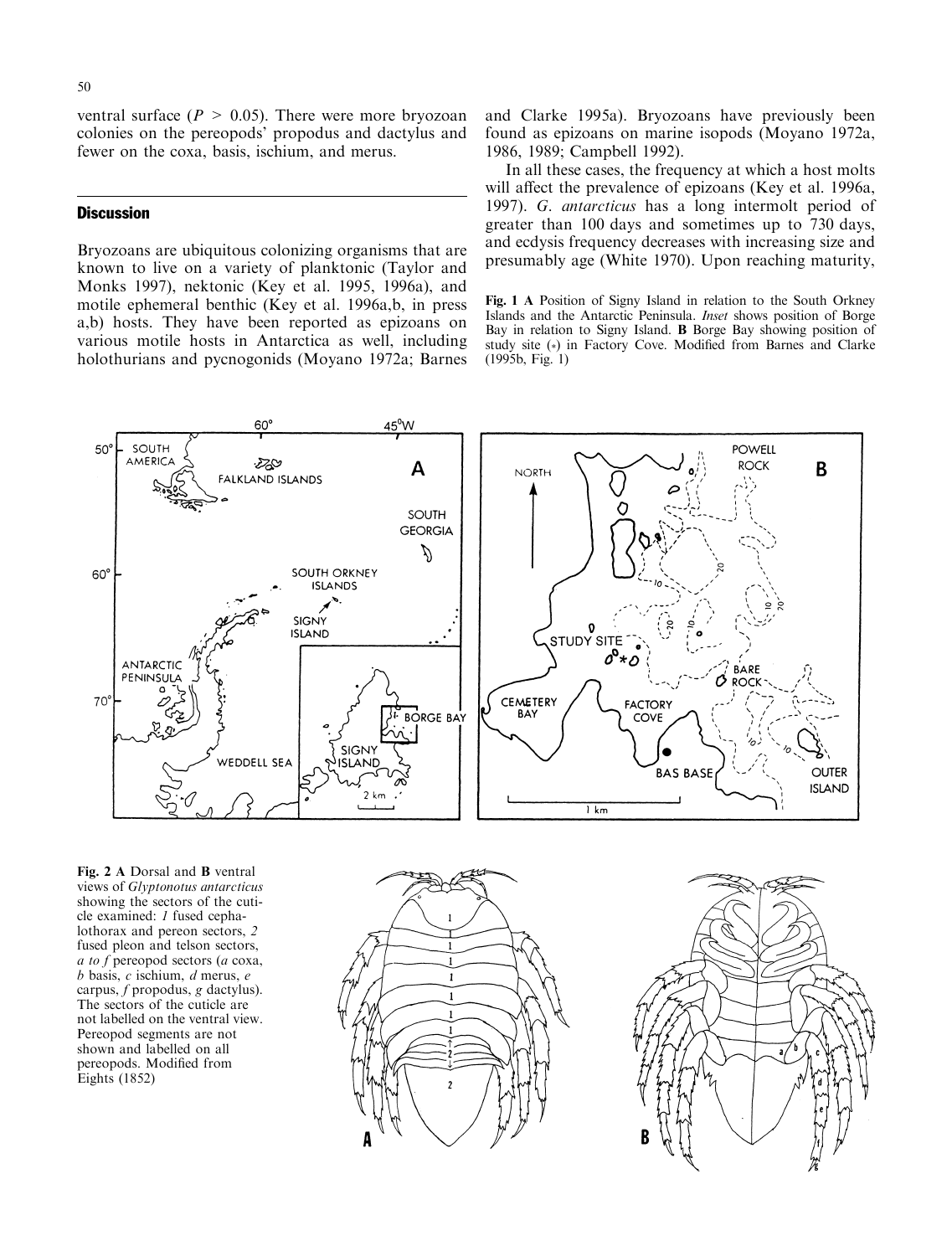ventral surface ( $P > 0.05$ ). There were more bryozoan colonies on the pereopods' propodus and dactylus and fewer on the coxa, basis, ischium, and merus.

### **Discussion**

Bryozoans are ubiquitous colonizing organisms that are known to live on a variety of planktonic (Taylor and Monks 1997), nektonic (Key et al. 1995, 1996a), and motile ephemeral benthic (Key et al. 1996a,b, in press a,b) hosts. They have been reported as epizoans on various motile hosts in Antarctica as well, including holothurians and pycnogonids (Moyano 1972a; Barnes and Clarke 1995a). Bryozoans have previously been found as epizoans on marine isopods (Moyano 1972a, 1986, 1989; Campbell 1992).

In all these cases, the frequency at which a host molts will affect the prevalence of epizoans (Key et al. 1996a, 1997). G. antarcticus has a long intermolt period of greater than 100 days and sometimes up to 730 days, and ecdysis frequency decreases with increasing size and presumably age (White 1970). Upon reaching maturity,

Fig. 1 A Position of Signy Island in relation to the South Orkney Islands and the Antarctic Peninsula. Inset shows position of Borge Bay in relation to Signy Island. B Borge Bay showing position of study site (\*) in Factory Cove. Modified from Barnes and Clarke (1995b, Fig. 1)



Fig. 2 A Dorsal and B ventral views of Glyptonotus antarcticus showing the sectors of the cuticle examined: 1 fused cephalothorax and pereon sectors, 2 fused pleon and telson sectors, a to f pereopod sectors (a coxa,  $b$  basis,  $c$  ischium,  $d$  merus,  $e$ carpus, f propodus, g dactylus). The sectors of the cuticle are not labelled on the ventral view. Pereopod segments are not shown and labelled on all pereopods. Modified from Eights (1852)



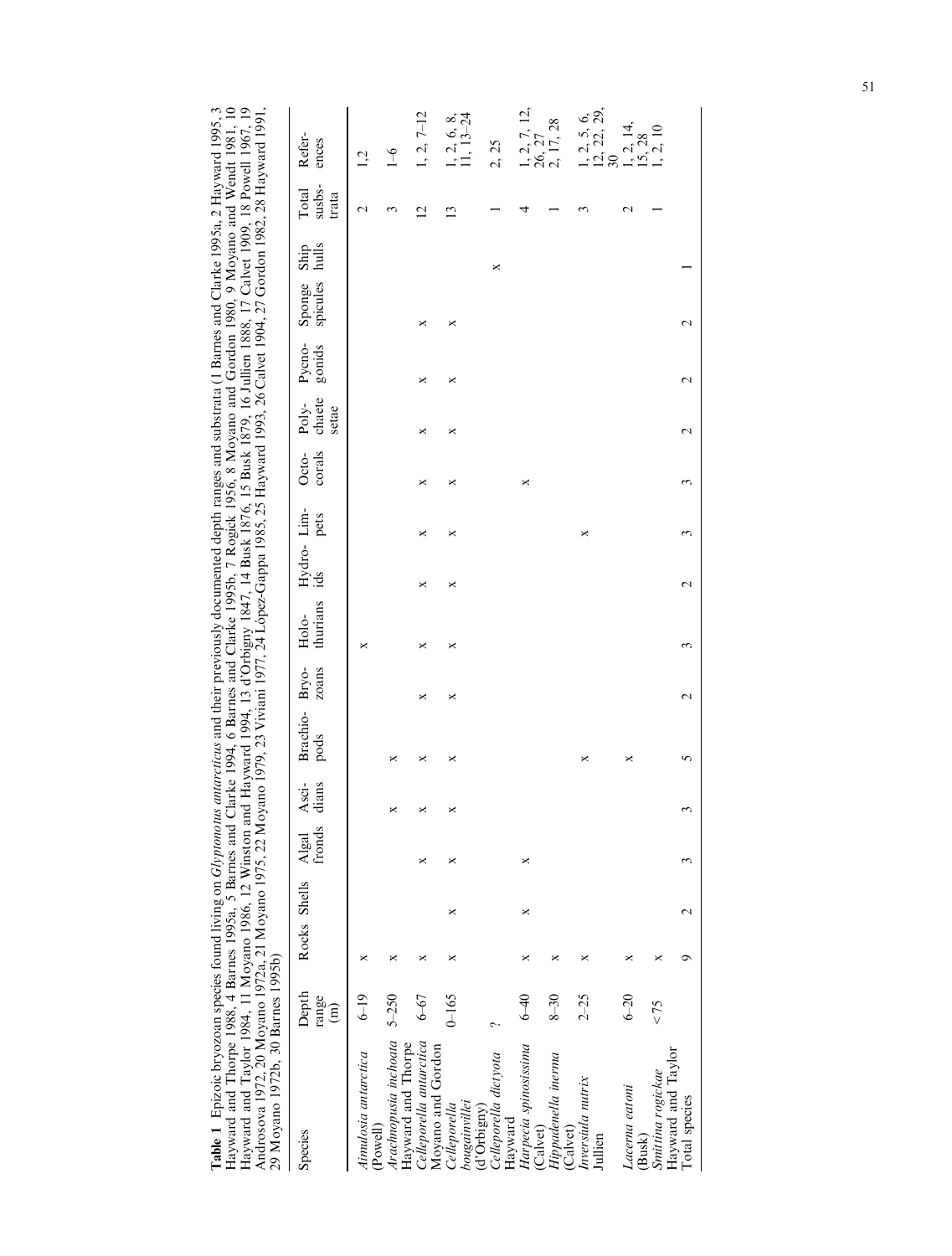Table 1 Epizoic bryozoan species found living on *Glyptonotus antarcticus* and their previously documented depth ranges and substrata (1 Barnes and Clarke 1995a, 2 Hayward 1995, 3<br>Hayward and Thorpe 1988, 4 Barnes 1995a, 5 Table 1 Epizoic bryozoan species found living on Glyptonotus antarcticus and their previously documented depth ranges and substrata (1 Barnes and Clarke 1995a, 2 Hayward 1995, 3 Hayward and Thorpe 1988, 4 Barnes 1995a, 5 Barnes and Clarke 1994, 6 Barnes and Clarke 1995b, 7 Rogick 1956, 8 Moyano and Gordon 1980, 9 Moyano and Wendt 1981, 10 Hayward and Taylor 1984, 11 Moyano 1986, 12 Winston and Hayward 1994, 13 d'Orbigny 1847, 14 Busk 1876, 15 Busk 1879, 16 Jullien 1888, 17 Calvet 1909, 18 Powell 1967, 19 Androsova 1972, 20 Moyano 1972a, 21 Moyano 1975, 22 Moyano 1975, 22 Viviani 1977, 24 Lopez-Gappa 1985, 25 Hayward 1993, 26 Calvet 1904, 27 Gordon 1982, 28 Hayward 1991,

| 29 Moyano 1972b, 30 Barnes 1995b)                  |                                   |              |   |                 |                |                       |       |                   |                   |      |                                   |        |                  |                                     |                          |                                       |
|----------------------------------------------------|-----------------------------------|--------------|---|-----------------|----------------|-----------------------|-------|-------------------|-------------------|------|-----------------------------------|--------|------------------|-------------------------------------|--------------------------|---------------------------------------|
| Species                                            | Depth<br>range<br>$\widehat{\Xi}$ | Rocks Shells |   | fronds<br>Algal | dians<br>Asci- | Brachio-Bryo-<br>pods | zoans | thurians<br>Holo- | Hydro-Lim-<br>ids | pets | Poly-<br>setae<br>corals<br>Octo- | chaete | Pycno-<br>gonids | hulls<br>Ship<br>spicules<br>Sponge | susbs-<br>Total<br>trata | Refer-<br>ences                       |
| Aimulosia antarctica                               | $6 - 19$                          | ×            |   |                 |                |                       |       | ×                 |                   |      |                                   |        |                  |                                     | $\mathbf 2$              | Ņ                                     |
| Arachnopusia inchoata<br>(Powell)                  | $5 - 250$                         | ×            |   |                 | ×              | ×                     |       |                   |                   |      |                                   |        |                  |                                     |                          | $\frac{6}{1}$                         |
| Celleporella antarctica<br>Hayward and Thorpe      | $6 - 67$                          | ×            |   | ×               | ×              | ×                     | ×     | ×                 | ×<br>×            | ×    | ×                                 | ×      | ×                |                                     | $\overline{2}$           | $1, 2, 7-12$                          |
| Moyano and Gordon<br>bougainvillei<br>Celleporella | $0 - 165$                         | ×            | × | ×               | ×              | ×                     | ×     | ×                 | ×<br>×            | ×    | ×                                 | ×      | ×                |                                     | ن                        | $13 - 24$<br>1, 2, 6, 8               |
| Celleporella dictyota<br>(d'Orbigny)               | ç.                                |              |   |                 |                |                       |       |                   |                   |      |                                   |        |                  | ×                                   |                          | 2, 25                                 |
| Harpecia spinosissima<br>Hayward                   | $6 - 40$                          |              | × | ×               |                |                       |       |                   |                   | ×    |                                   |        |                  |                                     |                          | 1, 2, 7, 12,                          |
| Hippadenella inerma<br>(Calvet)                    | $8 - 30$                          | ×            |   |                 |                |                       |       |                   |                   |      |                                   |        |                  |                                     |                          | $\frac{26}{2}$ , $\frac{27}{17}$ , 28 |
| Inversiula nutrix<br>(Calvet)<br>Jullien           | $2 - 25$                          | ×            |   |                 |                | ×                     |       |                   | ×                 |      |                                   |        |                  |                                     |                          | $\frac{12}{30}$ , 22, 29,<br>1, 2, 5, |
| Lacerna eatoni                                     | $6 - 20$                          | ×            |   |                 |                | ×                     |       |                   |                   |      |                                   |        |                  |                                     |                          | 1, 2, 14,<br>15, 28                   |
| Hayward and Taylor<br>Smittina rogickae<br>(Busk)  | 52 >                              | ×            |   |                 |                |                       |       |                   |                   |      |                                   |        |                  |                                     |                          |                                       |
| Total species                                      |                                   |              |   |                 | 3              |                       |       |                   |                   |      |                                   |        |                  |                                     |                          |                                       |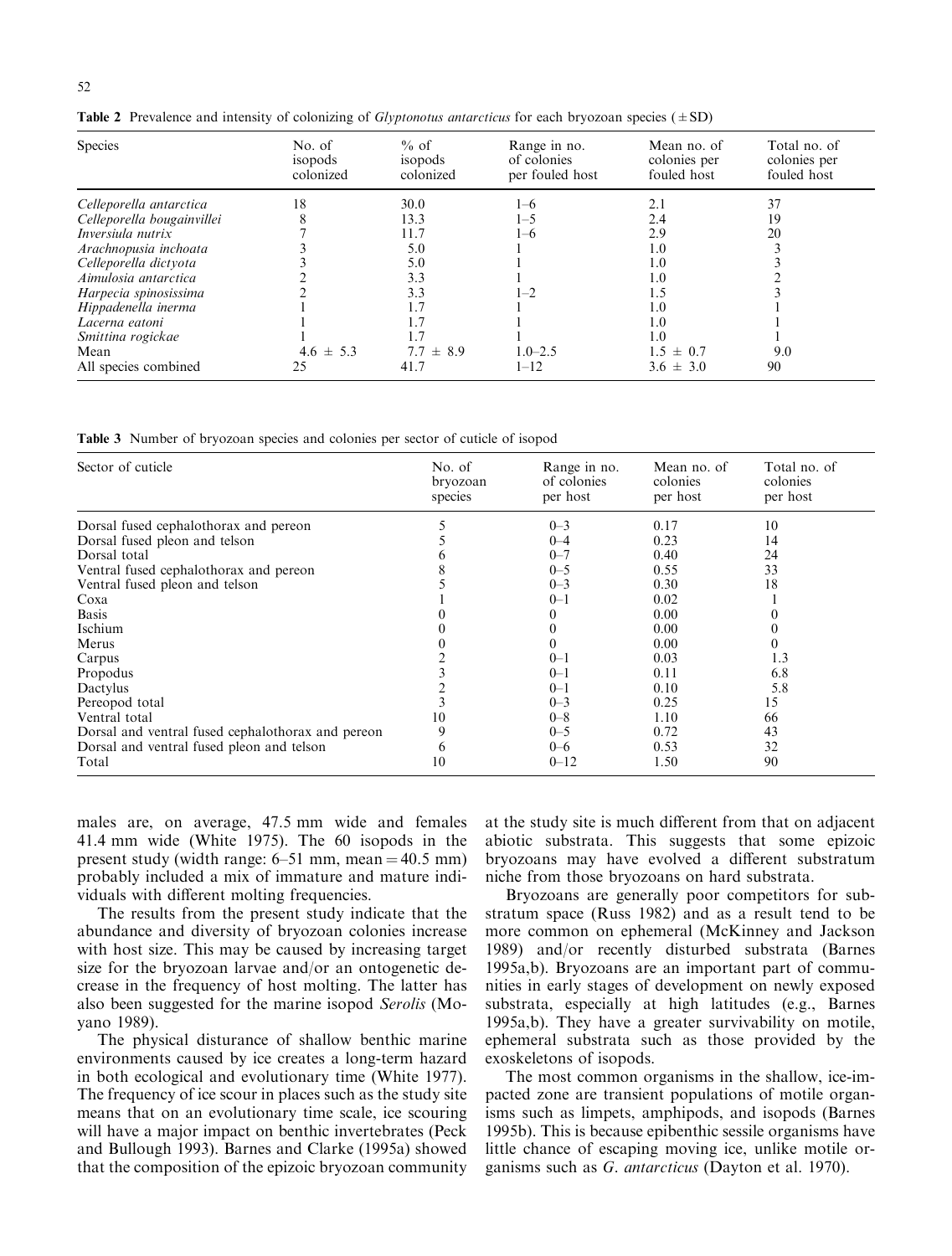| Species                    | No. of<br>isopods<br>colonized | $%$ of<br>isopods<br>colonized | Range in no.<br>of colonies<br>per fouled host | Mean no. of<br>colonies per<br>fouled host | Total no. of<br>colonies per<br>fouled host |
|----------------------------|--------------------------------|--------------------------------|------------------------------------------------|--------------------------------------------|---------------------------------------------|
| Celleporella antarctica    | 18                             | 30.0                           | $1 - 6$                                        | 2.1                                        | 37                                          |
| Celleporella bougainvillei |                                | 13.3                           | 1–5                                            | 2.4                                        | 19                                          |
| Inversiula nutrix          |                                | 11.7                           | 1-6                                            | 2.9                                        | 20                                          |
| Arachnopusia inchoata      |                                | 5.0                            |                                                | 1.0                                        |                                             |
| Celleporella dictyota      |                                | 5.0                            |                                                | 1.0                                        |                                             |
| Aimulosia antarctica       |                                | 3.3                            |                                                | 1.0                                        |                                             |
| Harpecia spinosissima      |                                | 3.3                            | $1 - 2$                                        | 1.5                                        |                                             |
| Hippadenella inerma        |                                |                                |                                                | 1.0                                        |                                             |
| Lacerna eatoni             |                                |                                |                                                | 1.0                                        |                                             |
| Smittina rogickae          |                                |                                |                                                | 1.0                                        |                                             |
| Mean                       | $4.6 \pm 5.3$                  | $7.7 \pm 8.9$                  | $1.0 - 2.5$                                    | $1.5 \pm 0.7$                              | 9.0                                         |
| All species combined       | 25                             | 41.7                           | 1–12                                           | $3.6 \pm 3.0$                              | 90                                          |

**Table 2** Prevalence and intensity of colonizing of *Glyptonotus antarcticus* for each bryozoan species ( $\pm$ SD)

Table 3 Number of bryozoan species and colonies per sector of cuticle of isopod

| Sector of cuticle                                 | No. of<br>bryozoan<br>species | Range in no.<br>of colonies<br>per host | Mean no. of<br>colonies<br>per host | Total no. of<br>colonies<br>per host |
|---------------------------------------------------|-------------------------------|-----------------------------------------|-------------------------------------|--------------------------------------|
| Dorsal fused cephalothorax and pereon             |                               | $0 - 3$                                 | 0.17                                | 10                                   |
| Dorsal fused pleon and telson                     |                               | $0 - 4$                                 | 0.23                                | 14                                   |
| Dorsal total                                      |                               | $0 - 7$                                 | 0.40                                | 24                                   |
| Ventral fused cephalothorax and pereon            |                               | $0 - 5$                                 | 0.55                                | 33                                   |
| Ventral fused pleon and telson                    |                               | $0 - 3$                                 | 0.30                                | 18                                   |
| Coxa                                              |                               | $0 - 1$                                 | 0.02                                |                                      |
| <b>Basis</b>                                      |                               |                                         | 0.00                                |                                      |
| Ischium                                           |                               |                                         | 0.00                                |                                      |
| Merus                                             |                               |                                         | 0.00                                |                                      |
| Carpus                                            |                               | $0 - 1$                                 | 0.03                                | 1.3                                  |
| Propodus                                          |                               | $0 - 1$                                 | 0.11                                | 6.8                                  |
| Dactylus                                          |                               | $0 - 1$                                 | 0.10                                | 5.8                                  |
| Pereopod total                                    |                               | $0 - 3$                                 | 0.25                                | 15                                   |
| Ventral total                                     | 10                            | $0 - 8$                                 | 1.10                                | 66                                   |
| Dorsal and ventral fused cephalothorax and pereon | 9                             | $0 - 5$                                 | 0.72                                | 43                                   |
| Dorsal and ventral fused pleon and telson         | 6                             | $0 - 6$                                 | 0.53                                | 32                                   |
| Total                                             | 10                            | $0 - 12$                                | 1.50                                | 90                                   |

males are, on average, 47.5 mm wide and females 41.4 mm wide (White 1975). The 60 isopods in the present study (width range:  $6-51$  mm, mean  $= 40.5$  mm) probably included a mix of immature and mature individuals with different molting frequencies.

The results from the present study indicate that the abundance and diversity of bryozoan colonies increase with host size. This may be caused by increasing target size for the bryozoan larvae and/or an ontogenetic decrease in the frequency of host molting. The latter has also been suggested for the marine isopod Serolis (Moyano 1989).

The physical disturance of shallow benthic marine environments caused by ice creates a long-term hazard in both ecological and evolutionary time (White 1977). The frequency of ice scour in places such as the study site means that on an evolutionary time scale, ice scouring will have a major impact on benthic invertebrates (Peck and Bullough 1993). Barnes and Clarke (1995a) showed that the composition of the epizoic bryozoan community

at the study site is much different from that on adjacent abiotic substrata. This suggests that some epizoic bryozoans may have evolved a different substratum niche from those bryozoans on hard substrata.

Bryozoans are generally poor competitors for substratum space (Russ 1982) and as a result tend to be more common on ephemeral (McKinney and Jackson 1989) and/or recently disturbed substrata (Barnes 1995a,b). Bryozoans are an important part of communities in early stages of development on newly exposed substrata, especially at high latitudes (e.g., Barnes 1995a,b). They have a greater survivability on motile, ephemeral substrata such as those provided by the exoskeletons of isopods.

The most common organisms in the shallow, ice-impacted zone are transient populations of motile organisms such as limpets, amphipods, and isopods (Barnes 1995b). This is because epibenthic sessile organisms have little chance of escaping moving ice, unlike motile organisms such as G. antarcticus (Dayton et al. 1970).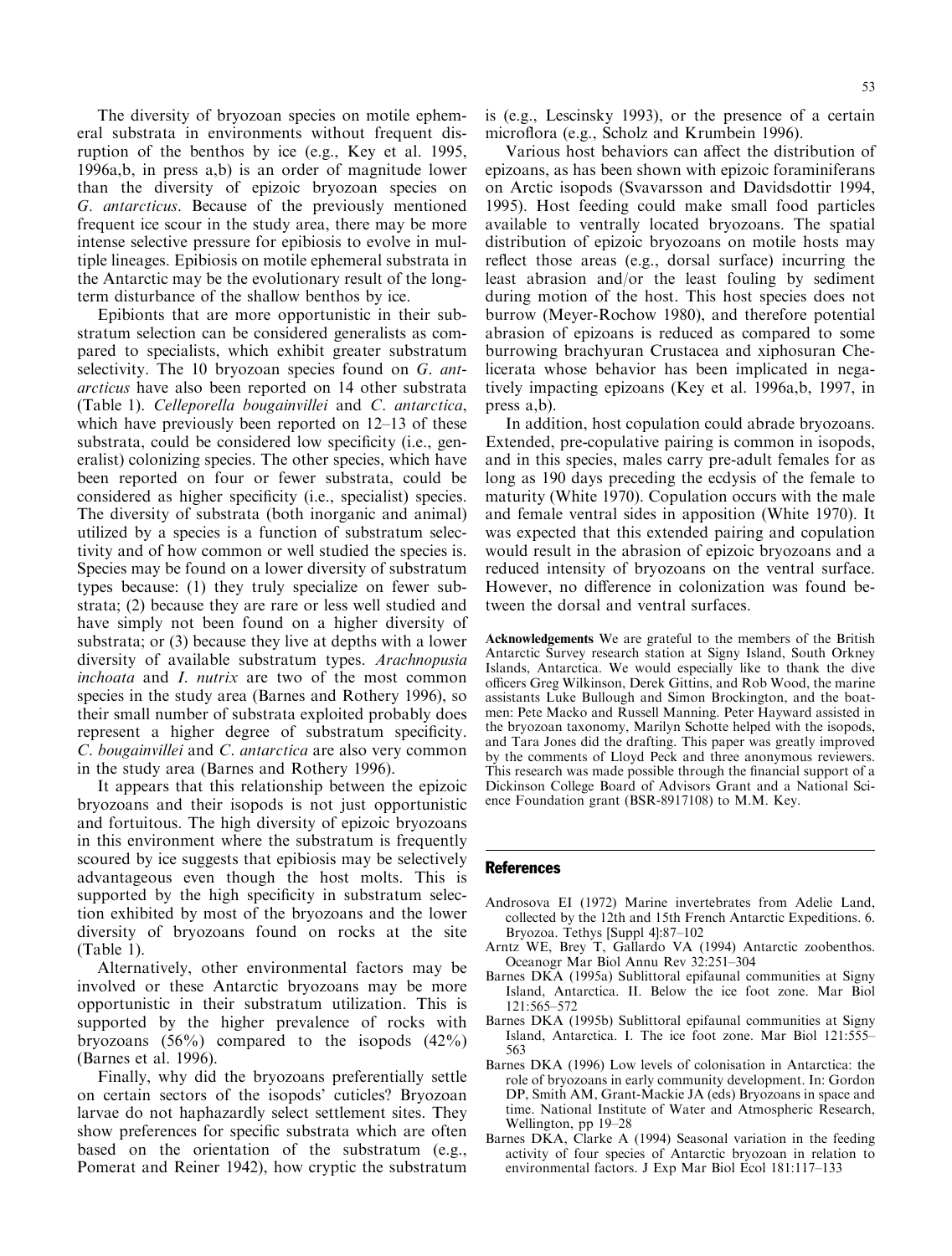The diversity of bryozoan species on motile ephemeral substrata in environments without frequent disruption of the benthos by ice (e.g., Key et al. 1995, 1996a,b, in press a,b) is an order of magnitude lower than the diversity of epizoic bryozoan species on G. antarcticus. Because of the previously mentioned frequent ice scour in the study area, there may be more intense selective pressure for epibiosis to evolve in multiple lineages. Epibiosis on motile ephemeral substrata in the Antarctic may be the evolutionary result of the longterm disturbance of the shallow benthos by ice.

Epibionts that are more opportunistic in their substratum selection can be considered generalists as compared to specialists, which exhibit greater substratum selectivity. The 10 bryozoan species found on G. antarcticus have also been reported on 14 other substrata (Table 1). Celleporella bougainvillei and C. antarctica, which have previously been reported on  $12-13$  of these substrata, could be considered low specificity (i.e., generalist) colonizing species. The other species, which have been reported on four or fewer substrata, could be considered as higher specificity (i.e., specialist) species. The diversity of substrata (both inorganic and animal) utilized by a species is a function of substratum selectivity and of how common or well studied the species is. Species may be found on a lower diversity of substratum types because: (1) they truly specialize on fewer substrata; (2) because they are rare or less well studied and have simply not been found on a higher diversity of substrata; or (3) because they live at depths with a lower diversity of available substratum types. Arachnopusia inchoata and I. nutrix are two of the most common species in the study area (Barnes and Rothery 1996), so their small number of substrata exploited probably does represent a higher degree of substratum specificity. C. bougainvillei and C. antarctica are also very common in the study area (Barnes and Rothery 1996).

It appears that this relationship between the epizoic bryozoans and their isopods is not just opportunistic and fortuitous. The high diversity of epizoic bryozoans in this environment where the substratum is frequently scoured by ice suggests that epibiosis may be selectively advantageous even though the host molts. This is supported by the high specificity in substratum selection exhibited by most of the bryozoans and the lower diversity of bryozoans found on rocks at the site (Table 1).

Alternatively, other environmental factors may be involved or these Antarctic bryozoans may be more opportunistic in their substratum utilization. This is supported by the higher prevalence of rocks with bryozoans  $(56\%)$  compared to the isopods  $(42\%)$ (Barnes et al. 1996).

Finally, why did the bryozoans preferentially settle on certain sectors of the isopods' cuticles? Bryozoan larvae do not haphazardly select settlement sites. They show preferences for specific substrata which are often based on the orientation of the substratum (e.g., Pomerat and Reiner 1942), how cryptic the substratum is (e.g., Lescinsky 1993), or the presence of a certain microflora (e.g., Scholz and Krumbein 1996).

Various host behaviors can affect the distribution of epizoans, as has been shown with epizoic foraminiferans on Arctic isopods (Svavarsson and Davidsdottir 1994, 1995). Host feeding could make small food particles available to ventrally located bryozoans. The spatial distribution of epizoic bryozoans on motile hosts may reflect those areas (e.g., dorsal surface) incurring the least abrasion and/or the least fouling by sediment during motion of the host. This host species does not burrow (Meyer-Rochow 1980), and therefore potential abrasion of epizoans is reduced as compared to some burrowing brachyuran Crustacea and xiphosuran Chelicerata whose behavior has been implicated in negatively impacting epizoans (Key et al. 1996a,b, 1997, in press a,b).

In addition, host copulation could abrade bryozoans. Extended, pre-copulative pairing is common in isopods, and in this species, males carry pre-adult females for as long as 190 days preceding the ecdysis of the female to maturity (White 1970). Copulation occurs with the male and female ventral sides in apposition (White 1970). It was expected that this extended pairing and copulation would result in the abrasion of epizoic bryozoans and a reduced intensity of bryozoans on the ventral surface. However, no difference in colonization was found between the dorsal and ventral surfaces.

Acknowledgements We are grateful to the members of the British Antarctic Survey research station at Signy Island, South Orkney Islands, Antarctica. We would especially like to thank the dive officers Greg Wilkinson, Derek Gittins, and Rob Wood, the marine assistants Luke Bullough and Simon Brockington, and the boatmen: Pete Macko and Russell Manning. Peter Hayward assisted in the bryozoan taxonomy, Marilyn Schotte helped with the isopods, and Tara Jones did the drafting. This paper was greatly improved by the comments of Lloyd Peck and three anonymous reviewers. This research was made possible through the financial support of a Dickinson College Board of Advisors Grant and a National Science Foundation grant (BSR-8917108) to M.M. Key.

#### References

- Androsova EI (1972) Marine invertebrates from Adelie Land, collected by the 12th and 15th French Antarctic Expeditions. 6. Bryozoa. Tethys [Suppl 4]:87-102
- Arntz WE, Brey T, Gallardo VA (1994) Antarctic zoobenthos. Oceanogr Mar Biol Annu Rev 32:251-304
- Barnes DKA (1995a) Sublittoral epifaunal communities at Signy Island, Antarctica. II. Below the ice foot zone. Mar Biol  $121:565-572$
- Barnes DKA (1995b) Sublittoral epifaunal communities at Signy Island, Antarctica. I. The ice foot zone. Mar Biol 121:555-563
- Barnes DKA (1996) Low levels of colonisation in Antarctica: the role of bryozoans in early community development. In: Gordon DP, Smith AM, Grant-Mackie JA (eds) Bryozoans in space and time. National Institute of Water and Atmospheric Research, Wellington, pp 19-28
- Barnes DKA, Clarke A (1994) Seasonal variation in the feeding activity of four species of Antarctic bryozoan in relation to environmental factors. J Exp Mar Biol Ecol 181:117-133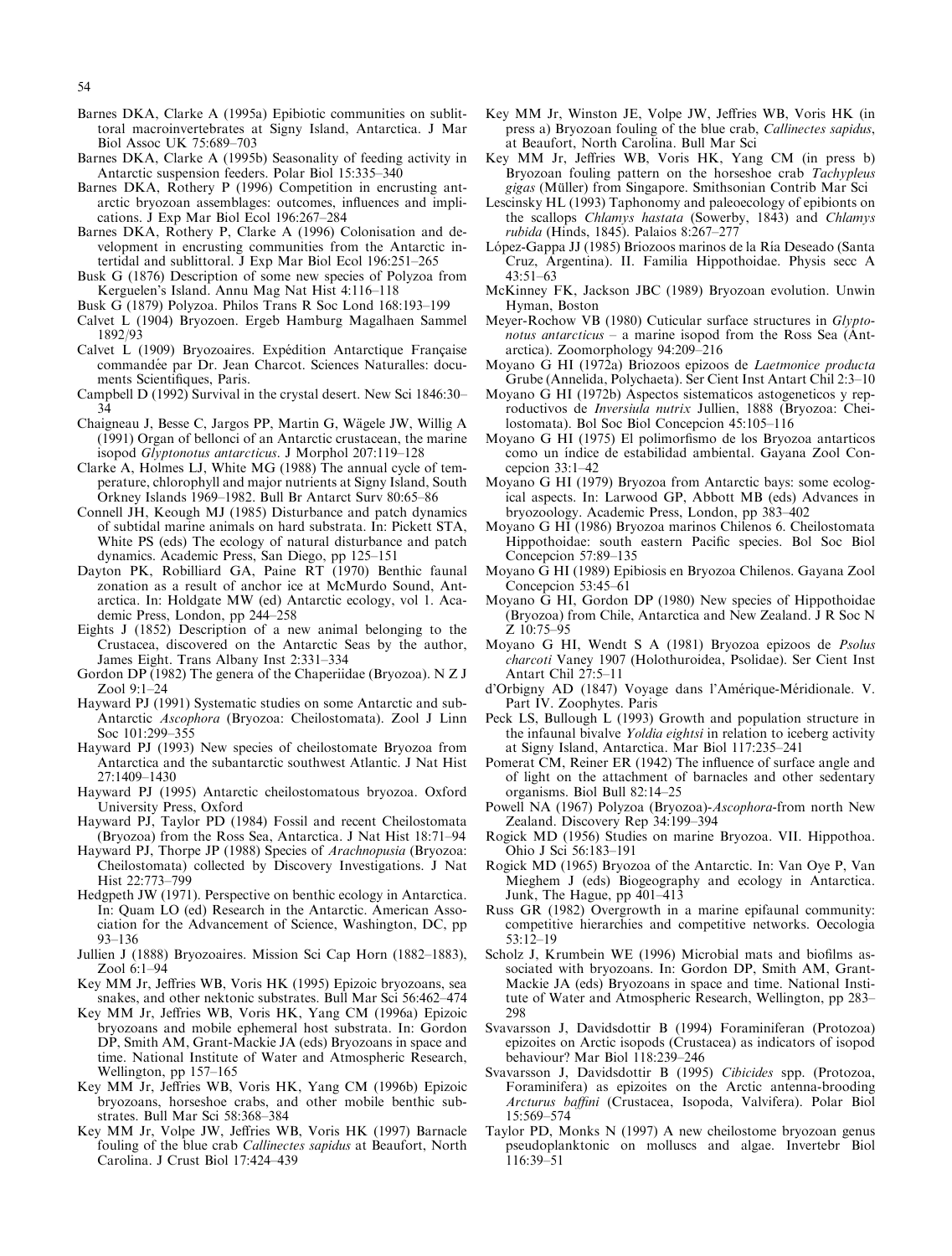- Barnes DKA, Clarke A (1995a) Epibiotic communities on sublittoral macroinvertebrates at Signy Island, Antarctica. J Mar Biol Assoc UK 75:689–703
- Barnes DKA, Clarke A (1995b) Seasonality of feeding activity in Antarctic suspension feeders. Polar Biol 15:335-340
- Barnes DKA, Rothery P (1996) Competition in encrusting antarctic bryozoan assemblages: outcomes, influences and implications. J Exp Mar Biol Ecol  $196:267-284$
- Barnes DKA, Rothery P, Clarke A (1996) Colonisation and development in encrusting communities from the Antarctic intertidal and sublittoral. J Exp Mar Biol Ecol  $196:251-265$
- Busk G (1876) Description of some new species of Polyzoa from Kerguelen's Island. Annu Mag Nat Hist 4:116-118
- Busk G (1879) Polyzoa. Philos Trans R Soc Lond 168:193-199
- Calvet L (1904) Bryozoen. Ergeb Hamburg Magalhaen Sammel 1892/93
- Calvet L (1909) Bryozoaires. Expédition Antarctique Française commandée par Dr. Jean Charcot. Sciences Naturalles: documents Scientifiques, Paris.
- Campbell D (1992) Survival in the crystal desert. New Sci 1846:30-34
- Chaigneau J, Besse C, Jargos PP, Martin G, Wägele JW, Willig A (1991) Organ of bellonci of an Antarctic crustacean, the marine isopod Glyptonotus antarcticus. J Morphol 207:119-128
- Clarke A, Holmes LJ, White MG (1988) The annual cycle of temperature, chlorophyll and major nutrients at Signy Island, South Orkney Islands 1969-1982. Bull Br Antarct Surv 80:65-86
- Connell JH, Keough MJ (1985) Disturbance and patch dynamics of subtidal marine animals on hard substrata. In: Pickett STA, White PS (eds) The ecology of natural disturbance and patch dynamics. Academic Press, San Diego, pp 125-151
- Dayton PK, Robilliard GA, Paine RT (1970) Benthic faunal zonation as a result of anchor ice at McMurdo Sound, Antarctica. In: Holdgate MW (ed) Antarctic ecology, vol 1. Academic Press, London, pp 244-258
- Eights J (1852) Description of a new animal belonging to the Crustacea, discovered on the Antarctic Seas by the author, James Eight. Trans Albany Inst 2:331–334
- Gordon DP (1982) The genera of the Chaperiidae (Bryozoa). N Z J Zool 9:1-24
- Hayward PJ (1991) Systematic studies on some Antarctic and sub-Antarctic Ascophora (Bryozoa: Cheilostomata). Zool J Linn Soc 101:299-355
- Hayward PJ (1993) New species of cheilostomate Bryozoa from Antarctica and the subantarctic southwest Atlantic. J Nat Hist 27:1409±1430
- Hayward PJ (1995) Antarctic cheilostomatous bryozoa. Oxford University Press, Oxford
- Hayward PJ, Taylor PD (1984) Fossil and recent Cheilostomata (Bryozoa) from the Ross Sea, Antarctica. J Nat Hist 18:71-94
- Hayward PJ, Thorpe JP (1988) Species of Arachnopusia (Bryozoa: Cheilostomata) collected by Discovery Investigations. J Nat Hist 22:773-799
- Hedgpeth JW (1971). Perspective on benthic ecology in Antarctica. In: Quam LO (ed) Research in the Antarctic. American Association for the Advancement of Science, Washington, DC, pp 93±136
- Jullien J (1888) Bryozoaires. Mission Sci Cap Horn (1882–1883), Zool 6:1-94
- Key MM Jr, Jeffries WB, Voris HK (1995) Epizoic bryozoans, sea snakes, and other nektonic substrates. Bull Mar Sci 56:462-474
- Key MM Jr, Jeffries WB, Voris HK, Yang CM (1996a) Epizoic bryozoans and mobile ephemeral host substrata. In: Gordon DP, Smith AM, Grant-Mackie JA (eds) Bryozoans in space and time. National Institute of Water and Atmospheric Research, Wellington, pp 157-165
- Key MM Jr, Jeffries WB, Voris HK, Yang CM (1996b) Epizoic bryozoans, horseshoe crabs, and other mobile benthic substrates. Bull Mar Sci 58:368-384
- Key MM Jr, Volpe JW, Jeffries WB, Voris HK (1997) Barnacle fouling of the blue crab Callinectes sapidus at Beaufort, North Carolina. J Crust Biol 17:424-439
- Key MM Jr, Winston JE, Volpe JW, Jeffries WB, Voris HK (in press a) Bryozoan fouling of the blue crab, Callinectes sapidus, at Beaufort, North Carolina. Bull Mar Sci
- Key MM Jr, Jeffries WB, Voris HK, Yang CM (in press b) Bryozoan fouling pattern on the horseshoe crab Tachypleus gigas (Müller) from Singapore. Smithsonian Contrib Mar Sci
- Lescinsky HL (1993) Taphonomy and paleoecology of epibionts on the scallops Chlamys hastata (Sowerby, 1843) and Chlamys rubida (Hinds, 1845). Palaios 8:267-277
- López-Gappa JJ (1985) Briozoos marinos de la Ría Deseado (Santa Cruz, Argentina). II. Familia Hippothoidae. Physis secc A 43:51±63
- McKinney FK, Jackson JBC (1989) Bryozoan evolution. Unwin Hyman, Boston
- Meyer-Rochow VB (1980) Cuticular surface structures in Glyptonotus antarcticus  $-$  a marine isopod from the Ross Sea (Antarctica). Zoomorphology 94:209-216
- Moyano G HI (1972a) Briozoos epizoos de Laetmonice producta Grube (Annelida, Polychaeta). Ser Cient Inst Antart Chil 2:3-10
- Moyano G HI (1972b) Aspectos sistematicos astogeneticos y reproductivos de Inversiula nutrix Jullien, 1888 (Bryozoa: Cheilostomata). Bol Soc Biol Concepcion 45:105-116
- Moyano G HI (1975) El polimorfismo de los Bryozoa antarticos como un índice de estabilidad ambiental. Gayana Zool Concepcion  $33:1-42$
- Moyano G HI (1979) Bryozoa from Antarctic bays: some ecological aspects. In: Larwood GP, Abbott MB (eds) Advances in bryozoology. Academic Press, London, pp 383-402
- Moyano G HI (1986) Bryozoa marinos Chilenos 6. Cheilostomata Hippothoidae: south eastern Pacific species. Bol Soc Biol Concepcion  $57:89-135$
- Moyano G HI (1989) Epibiosis en Bryozoa Chilenos. Gayana Zool Concepcion  $53:45-61$
- Moyano G HI, Gordon DP (1980) New species of Hippothoidae (Bryozoa) from Chile, Antarctica and New Zealand. J R Soc N  $Z$  10:75 $-95$
- Moyano G HI, Wendt S A (1981) Bryozoa epizoos de Psolus charcoti Vaney 1907 (Holothuroidea, Psolidae). Ser Cient Inst Antart Chil 27:5-11
- d'Orbigny AD (1847) Voyage dans l'Amérique-Méridionale. V. Part IV. Zoophytes. Paris
- Peck LS, Bullough L (1993) Growth and population structure in the infaunal bivalve Yoldia eightsi in relation to iceberg activity at Signy Island, Antarctica. Mar Biol 117:235-241
- Pomerat CM, Reiner ER (1942) The influence of surface angle and of light on the attachment of barnacles and other sedentary organisms. Biol Bull 82:14-25
- Powell NA (1967) Polyzoa (Bryozoa)-Ascophora-from north New Zealand. Discovery Rep 34:199-394
- Rogick MD (1956) Studies on marine Bryozoa. VII. Hippothoa. Ohio J Sci 56:183-191
- Rogick MD (1965) Bryozoa of the Antarctic. In: Van Oye P, Van Mieghem J (eds) Biogeography and ecology in Antarctica. Junk, The Hague, pp 401–413
- Russ GR (1982) Overgrowth in a marine epifaunal community: competitive hierarchies and competitive networks. Oecologia 53:12±19
- Scholz J, Krumbein WE (1996) Microbial mats and biofilms associated with bryozoans. In: Gordon DP, Smith AM, Grant-Mackie JA (eds) Bryozoans in space and time. National Institute of Water and Atmospheric Research, Wellington, pp 283– 298
- Svavarsson J, Davidsdottir B (1994) Foraminiferan (Protozoa) epizoites on Arctic isopods (Crustacea) as indicators of isopod behaviour? Mar Biol 118:239-246
- Svavarsson J, Davidsdottir B (1995) Cibicides spp. (Protozoa, Foraminifera) as epizoites on the Arctic antenna-brooding Arcturus baffini (Crustacea, Isopoda, Valvifera). Polar Biol 15:569±574
- Taylor PD, Monks N (1997) A new cheilostome bryozoan genus pseudoplanktonic on molluscs and algae. Invertebr Biol 116:39±51